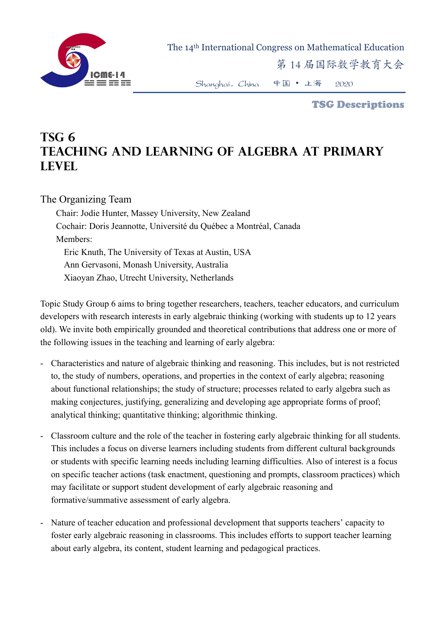

The 14th International Congress on Mathematical Education

第 14 届国际数学教育大会

Shanghai,China 中国 • 上海 2020

TSG Descriptions

## **TSG 6 Teaching and learning of algebra at primary level**

## The Organizing Team

Chair: Jodie Hunter, Massey University, New Zealand Cochair: Doris Jeannotte, Université du Québec a Montréal, Canada Members: Eric Knuth, The University of Texas at Austin, USA Ann Gervasoni, Monash University, Australia Xiaoyan Zhao, Utrecht University, Netherlands

Topic Study Group 6 aims to bring together researchers, teachers, teacher educators, and curriculum developers with research interests in early algebraic thinking (working with students up to 12 years old). We invite both empirically grounded and theoretical contributions that address one or more of the following issues in the teaching and learning of early algebra:

- Characteristics and nature of algebraic thinking and reasoning. This includes, but is not restricted to, the study of numbers, operations, and properties in the context of early algebra; reasoning about functional relationships; the study of structure; processes related to early algebra such as making conjectures, justifying, generalizing and developing age appropriate forms of proof; analytical thinking; quantitative thinking; algorithmic thinking.
- Classroom culture and the role of the teacher in fostering early algebraic thinking for all students. This includes a focus on diverse learners including students from different cultural backgrounds or students with specific learning needs including learning difficulties. Also of interest is a focus on specific teacher actions (task enactment, questioning and prompts, classroom practices) which may facilitate or support student development of early algebraic reasoning and formative/summative assessment of early algebra.
- Nature of teacher education and professional development that supports teachers' capacity to foster early algebraic reasoning in classrooms. This includes efforts to support teacher learning about early algebra, its content, student learning and pedagogical practices.